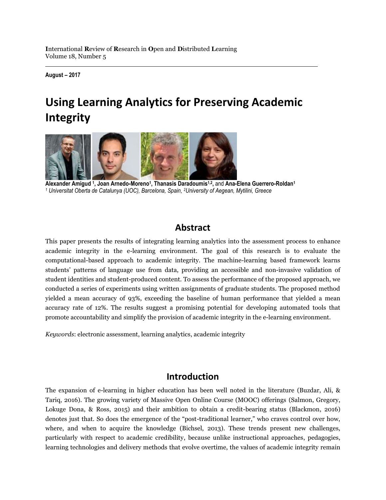**August – 2017**

# **Using Learning Analytics for Preserving Academic Integrity**



**Alexander Amigud <sup>1</sup> , Joan Arnedo-Moreno<sup>1</sup> , Thanasis Daradoumis1,2 ,** and **Ana-Elena Guerrero-Roldan<sup>1</sup>** *<sup>1</sup> Universitat Oberta de Catalunya (UOC), Barcelona, Spain, <sup>2</sup>University of Aegean, Mytilini, Greece*

# **Abstract**

This paper presents the results of integrating learning analytics into the assessment process to enhance academic integrity in the e-learning environment. The goal of this research is to evaluate the computational-based approach to academic integrity. The machine-learning based framework learns students' patterns of language use from data, providing an accessible and non-invasive validation of student identities and student-produced content. To assess the performance of the proposed approach, we conducted a series of experiments using written assignments of graduate students. The proposed method yielded a mean accuracy of 93%, exceeding the baseline of human performance that yielded a mean accuracy rate of 12%. The results suggest a promising potential for developing automated tools that promote accountability and simplify the provision of academic integrity in the e-learning environment.

*Keywords*: electronic assessment, learning analytics, academic integrity

# **Introduction**

The expansion of e-learning in higher education has been well noted in the literature (Buzdar, Ali, & Tariq, 2016). The growing variety of Massive Open Online Course (MOOC) offerings (Salmon, Gregory, Lokuge Dona, & Ross, 2015) and their ambition to obtain a credit-bearing status (Blackmon, 2016) denotes just that. So does the emergence of the "post-traditional learner," who craves control over how, where, and when to acquire the knowledge (Bichsel, 2013). These trends present new challenges, particularly with respect to academic credibility, because unlike instructional approaches, pedagogies, learning technologies and delivery methods that evolve overtime, the values of academic integrity remain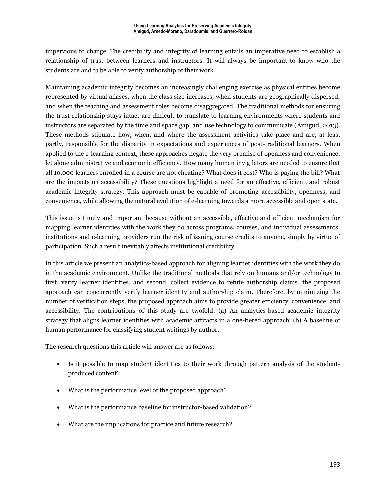impervious to change. The credibility and integrity of learning entails an imperative need to establish a relationship of trust between learners and instructors. It will always be important to know who the students are and to be able to verify authorship of their work.

Maintaining academic integrity becomes an increasingly challenging exercise as physical entities become represented by virtual aliases, when the class size increases, when students are geographically dispersed, and when the teaching and assessment roles become disaggregated. The traditional methods for ensuring the trust relationship stays intact are difficult to translate to learning environments where students and instructors are separated by the time and space gap, and use technology to communicate (Amigud, 2013). These methods stipulate how, when, and where the assessment activities take place and are, at least partly, responsible for the disparity in expectations and experiences of post-traditional learners. When applied to the e-learning context, these approaches negate the very premise of openness and convenience, let alone administrative and economic efficiency. How many human invigilators are needed to ensure that all 10,000 learners enrolled in a course are not cheating? What does it cost? Who is paying the bill? What are the impacts on accessibility? These questions highlight a need for an effective, efficient, and robust academic integrity strategy. This approach must be capable of promoting accessibility, openness, and convenience, while allowing the natural evolution of e-learning towards a more accessible and open state.

This issue is timely and important because without an accessible, effective and efficient mechanism for mapping learner identities with the work they do across programs, courses, and individual assessments, institutions and e-learning providers run the risk of issuing course credits to anyone, simply by virtue of participation. Such a result inevitably affects institutional credibility.

In this article we present an analytics-based approach for aligning learner identities with the work they do in the academic environment. Unlike the traditional methods that rely on humans and/or technology to first, verify learner identities, and second, collect evidence to refute authorship claims, the proposed approach can concurrently verify learner identity and authorship claim. Therefore, by minimizing the number of verification steps, the proposed approach aims to provide greater efficiency, convenience, and accessibility. The contributions of this study are twofold: (a) An analytics-based academic integrity strategy that aligns learner identities with academic artifacts in a one-tiered approach; (b) A baseline of human performance for classifying student writings by author.

The research questions this article will answer are as follows:

- Is it possible to map student identities to their work through pattern analysis of the studentproduced content?
- What is the performance level of the proposed approach?
- What is the performance baseline for instructor-based validation?
- What are the implications for practice and future research?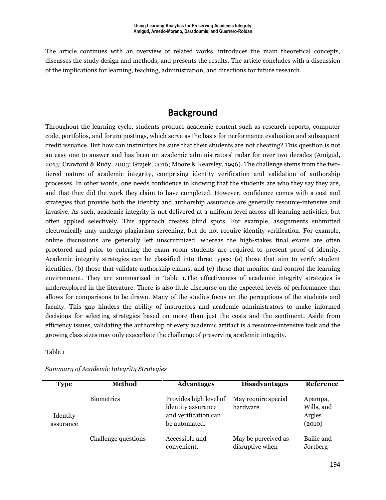The article continues with an overview of related works, introduces the main theoretical concepts, discusses the study design and methods, and presents the results. The article concludes with a discussion of the implications for learning, teaching, administration, and directions for future research.

# **Background**

Throughout the learning cycle, students produce academic content such as research reports, computer code, portfolios, and forum postings, which serve as the basis for performance evaluation and subsequent credit issuance. But how can instructors be sure that their students are not cheating? This question is not an easy one to answer and has been on academic administrators' radar for over two decades (Amigud, 2013; Crawford & Rudy, 2003; Grajek, 2016; Moore & Kearsley, 1996). The challenge stems from the twotiered nature of academic integrity, comprising identity verification and validation of authorship processes. In other words, one needs confidence in knowing that the students are who they say they are, and that they did the work they claim to have completed. However, confidence comes with a cost and strategies that provide both the identity and authorship assurance are generally resource-intensive and invasive. As such, academic integrity is not delivered at a uniform level across all learning activities, but often applied selectively. This approach creates blind spots. For example, assignments submitted electronically may undergo plagiarism screening, but do not require identity verification. For example, online discussions are generally left unscrutinized, whereas the high-stakes final exams are often proctored and prior to entering the exam room students are required to present proof of identity. Academic integrity strategies can be classified into three types: (a) those that aim to verify student identities, (b) those that validate authorship claims, and (c) those that monitor and control the learning environment. They are summarized in Table 1.The effectiveness of academic integrity strategies is underexplored in the literature. There is also little discourse on the expected levels of performance that allows for comparisons to be drawn. Many of the studies focus on the perceptions of the students and faculty. This gap hinders the ability of instructors and academic administrators to make informed decisions for selecting strategies based on more than just the costs and the sentiment. Aside from efficiency issues, validating the authorship of every academic artifact is a resource-intensive task and the growing class sizes may only exacerbate the challenge of preserving academic integrity.

Table 1

| <b>Type</b>           | <b>Method</b>       | <b>Advantages</b>                                                                     | <b>Disadvantages</b>                   | <b>Reference</b>                          |
|-----------------------|---------------------|---------------------------------------------------------------------------------------|----------------------------------------|-------------------------------------------|
| Identity<br>assurance | <b>Biometrics</b>   | Provides high level of<br>identity assurance<br>and verification can<br>be automated. | May require special<br>hardware.       | Apampa,<br>Wills, and<br>Argles<br>(2010) |
|                       | Challenge questions | Accessible and<br>convenient.                                                         | May be perceived as<br>disruptive when | Bailie and<br>Jortberg                    |

*Summary of Academic Integrity Strategies*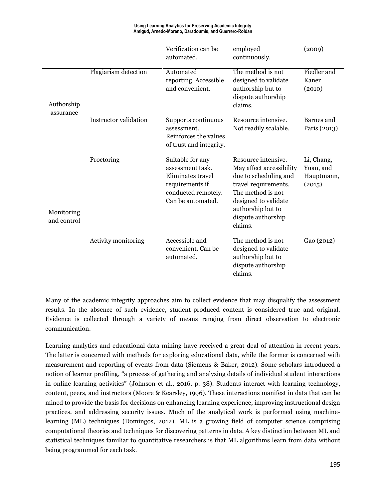|                           |                       | Verification can be<br>automated.                                                                                        | employed<br>continuously.                                                                                                                                                                           | (2009)                                           |
|---------------------------|-----------------------|--------------------------------------------------------------------------------------------------------------------------|-----------------------------------------------------------------------------------------------------------------------------------------------------------------------------------------------------|--------------------------------------------------|
| Authorship<br>assurance   | Plagiarism detection  | Automated<br>reporting. Accessible<br>and convenient.                                                                    | The method is not<br>designed to validate<br>authorship but to<br>dispute authorship<br>claims.                                                                                                     | Fiedler and<br>Kaner<br>(2010)                   |
|                           | Instructor validation | Supports continuous<br>assessment.<br>Reinforces the values<br>of trust and integrity.                                   | Resource intensive.<br>Not readily scalable.                                                                                                                                                        | Barnes and<br>Paris (2013)                       |
| Monitoring<br>and control | Proctoring            | Suitable for any<br>assessment task.<br>Eliminates travel<br>requirements if<br>conducted remotely.<br>Can be automated. | Resource intensive.<br>May affect accessibility<br>due to scheduling and<br>travel requirements.<br>The method is not<br>designed to validate<br>authorship but to<br>dispute authorship<br>claims. | Li, Chang,<br>Yuan, and<br>Hauptmann,<br>(2015). |
|                           | Activity monitoring   | Accessible and<br>convenient. Can be<br>automated.                                                                       | The method is not<br>designed to validate<br>authorship but to<br>dispute authorship<br>claims.                                                                                                     | Gao (2012)                                       |

Many of the academic integrity approaches aim to collect evidence that may disqualify the assessment results. In the absence of such evidence, student-produced content is considered true and original. Evidence is collected through a variety of means ranging from direct observation to electronic communication.

Learning analytics and educational data mining have received a great deal of attention in recent years. The latter is concerned with methods for exploring educational data, while the former is concerned with measurement and reporting of events from data (Siemens & Baker, 2012). Some scholars introduced a notion of learner profiling, "a process of gathering and analyzing details of individual student interactions in online learning activities" (Johnson et al., 2016, p. 38). Students interact with learning technology, content, peers, and instructors (Moore & Kearsley, 1996). These interactions manifest in data that can be mined to provide the basis for decisions on enhancing learning experience, improving instructional design practices, and addressing security issues. Much of the analytical work is performed using machinelearning (ML) techniques (Domingos, 2012). ML is a growing field of computer science comprising computational theories and techniques for discovering patterns in data. A key distinction between ML and statistical techniques familiar to quantitative researchers is that ML algorithms learn from data without being programmed for each task.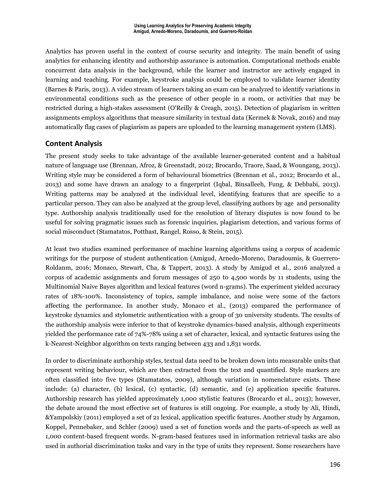Analytics has proven useful in the context of course security and integrity. The main benefit of using analytics for enhancing identity and authorship assurance is automation. Computational methods enable concurrent data analysis in the background, while the learner and instructor are actively engaged in learning and teaching. For example, keystroke analysis could be employed to validate learner identity (Barnes & Paris, 2013). A video stream of learners taking an exam can be analyzed to identify variations in environmental conditions such as the presence of other people in a room, or activities that may be restricted during a high-stakes assessment (O'Reilly & Creagh, 2015). Detection of plagiarism in written assignments employs algorithms that measure similarity in textual data (Kermek & Novak, 2016) and may automatically flag cases of plagiarism as papers are uploaded to the learning management system (LMS).

### **Content Analysis**

The present study seeks to take advantage of the available learner-generated content and a habitual nature of language use (Brennan, Afroz, & Greenstadt, 2012; Brocardo, Traore, Saad, & Woungang, 2013). Writing style may be considered a form of behavioural biometrics (Brennan et al., 2012; Brocardo et al., 2013) and some have drawn an analogy to a fingerprint (Iqbal, Binsalleeh, Fung, & Debbabi, 2013). Writing patterns may be analyzed at the individual level, identifying features that are specific to a particular person. They can also be analyzed at the group level, classifying authors by age and personality type. Authorship analysis traditionally used for the resolution of literary disputes is now found to be useful for solving pragmatic issues such as forensic inquiries, plagiarism detection, and various forms of social misconduct (Stamatatos, Potthast, Rangel, Rosso, & Stein, 2015).

At least two studies examined performance of machine learning algorithms using a corpus of academic writings for the purpose of student authentication (Amigud, Arnedo-Moreno, Daradoumis, & Guerrero-Roldanm, 2016; Monaco, Stewart, Cha, & Tappert, 2013). A study by Amigud et al., 2016 analyzed a corpus of academic assignments and forum messages of 250 to 4,500 words by 11 students, using the Multinomial Naive Bayes algorithm and lexical features (word n-grams). The experiment yielded accuracy rates of 18%-100%. Inconsistency of topics, sample imbalance, and noise were some of the factors affecting the performance. In another study, Monaco et al., (2013) compared the performance of keystroke dynamics and stylometric authentication with a group of 30 university students. The results of the authorship analysis were inferior to that of keystroke dynamics-based analysis, although experiments yielded the performance rate of 74%-78% using a set of character, lexical, and syntactic features using the k-Nearest-Neighbor algorithm on texts ranging between 433 and 1,831 words.

In order to discriminate authorship styles, textual data need to be broken down into measurable units that represent writing behaviour, which are then extracted from the text and quantified. Style markers are often classified into five types (Stamatatos, 2009), although variation in nomenclature exists. These include: (a) character, (b) lexical, (c) syntactic, (d) semantic, and (e) application specific features. Authorship research has yielded approximately 1,000 stylistic features (Brocardo et al., 2013); however, the debate around the most effective set of features is still ongoing. For example, a study by Ali, Hindi, &Yampolskiy (2011) employed a set of 21 lexical, application specific features. Another study by Argamon, Koppel, Pennebaker, and Schler (2009) used a set of function words and the parts-of-speech as well as 1,000 content-based frequent words. N-gram-based features used in information retrieval tasks are also used in authorial discrimination tasks and vary in the type of units they represent. Some researchers have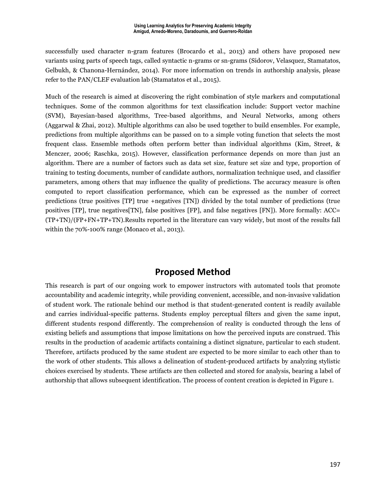successfully used character n-gram features (Brocardo et al., 2013) and others have proposed new variants using parts of speech tags, called syntactic n-grams or sn-grams (Sidorov, Velasquez, Stamatatos, Gelbukh, & Chanona-Hernández, 2014). For more information on trends in authorship analysis, please refer to the PAN/CLEF evaluation lab (Stamatatos et al., 2015).

Much of the research is aimed at discovering the right combination of style markers and computational techniques. Some of the common algorithms for text classification include: Support vector machine (SVM), Bayesian-based algorithms, Tree-based algorithms, and Neural Networks, among others (Aggarwal & Zhai, 2012). Multiple algorithms can also be used together to build ensembles. For example, predictions from multiple algorithms can be passed on to a simple voting function that selects the most frequent class. Ensemble methods often perform better than individual algorithms (Kim, Street, & Menczer, 2006; Raschka, 2015). However, classification performance depends on more than just an algorithm. There are a number of factors such as data set size, feature set size and type, proportion of training to testing documents, number of candidate authors, normalization technique used, and classifier parameters, among others that may influence the quality of predictions. The accuracy measure is often computed to report classification performance, which can be expressed as the number of correct predictions (true positives [TP] true +negatives [TN]) divided by the total number of predictions (true positives [TP], true negatives[TN], false positives [FP], and false negatives [FN]). More formally: ACC= (TP+TN)/(FP+FN+TP+TN).Results reported in the literature can vary widely, but most of the results fall within the 70%-100% range (Monaco et al., 2013).

# **Proposed Method**

This research is part of our ongoing work to empower instructors with automated tools that promote accountability and academic integrity, while providing convenient, accessible, and non-invasive validation of student work. The rationale behind our method is that student-generated content is readily available and carries individual-specific patterns. Students employ perceptual filters and given the same input, different students respond differently. The comprehension of reality is conducted through the lens of existing beliefs and assumptions that impose limitations on how the perceived inputs are construed. This results in the production of academic artifacts containing a distinct signature, particular to each student. Therefore, artifacts produced by the same student are expected to be more similar to each other than to the work of other students. This allows a delineation of student-produced artifacts by analyzing stylistic choices exercised by students. These artifacts are then collected and stored for analysis, bearing a label of authorship that allows subsequent identification. The process of content creation is depicted in Figure 1.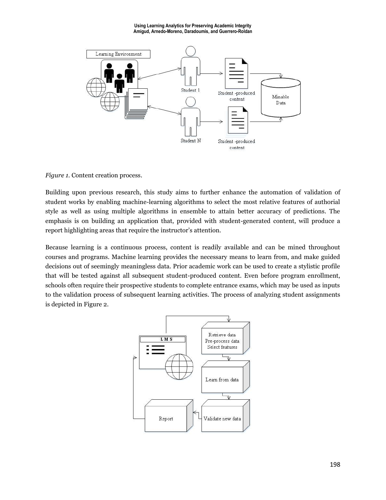**Using Learning Analytics for Preserving Academic Integrity Amigud, Arnedo-Moreno, Daradoumis, and Guerrero-Roldan**



*Figure 1.* Content creation process.

Building upon previous research, this study aims to further enhance the automation of validation of student works by enabling machine-learning algorithms to select the most relative features of authorial style as well as using multiple algorithms in ensemble to attain better accuracy of predictions. The emphasis is on building an application that, provided with student-generated content, will produce a report highlighting areas that require the instructor's attention.

Because learning is a continuous process, content is readily available and can be mined throughout courses and programs. Machine learning provides the necessary means to learn from, and make guided decisions out of seemingly meaningless data. Prior academic work can be used to create a stylistic profile that will be tested against all subsequent student-produced content. Even before program enrollment, schools often require their prospective students to complete entrance exams, which may be used as inputs to the validation process of subsequent learning activities. The process of analyzing student assignments is depicted in Figure 2.

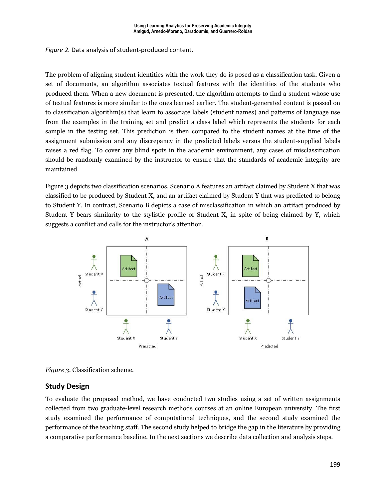*Figure 2.* Data analysis of student-produced content.

The problem of aligning student identities with the work they do is posed as a classification task. Given a set of documents, an algorithm associates textual features with the identities of the students who produced them. When a new document is presented, the algorithm attempts to find a student whose use of textual features is more similar to the ones learned earlier. The student-generated content is passed on to classification algorithm(s) that learn to associate labels (student names) and patterns of language use from the examples in the training set and predict a class label which represents the students for each sample in the testing set. This prediction is then compared to the student names at the time of the assignment submission and any discrepancy in the predicted labels versus the student-supplied labels raises a red flag. To cover any blind spots in the academic environment, any cases of misclassification should be randomly examined by the instructor to ensure that the standards of academic integrity are maintained.

Figure 3 depicts two classification scenarios. Scenario A features an artifact claimed by Student X that was classified to be produced by Student X, and an artifact claimed by Student Y that was predicted to belong to Student Y. In contrast, Scenario B depicts a case of misclassification in which an artifact produced by Student Y bears similarity to the stylistic profile of Student X, in spite of being claimed by Y, which suggests a conflict and calls for the instructor's attention.



*Figure 3.* Classification scheme.

## **Study Design**

To evaluate the proposed method, we have conducted two studies using a set of written assignments collected from two graduate-level research methods courses at an online European university. The first study examined the performance of computational techniques, and the second study examined the performance of the teaching staff. The second study helped to bridge the gap in the literature by providing a comparative performance baseline. In the next sections we describe data collection and analysis steps.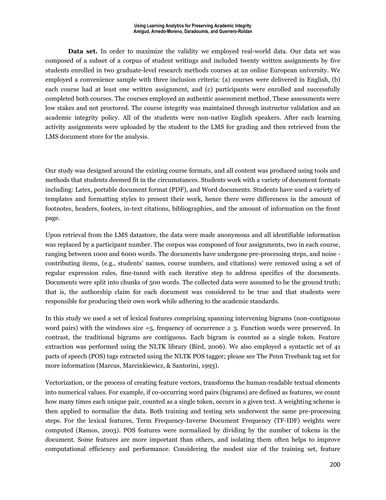#### **Using Learning Analytics for Preserving Academic Integrity Amigud, Arnedo-Moreno, Daradoumis, and Guerrero-Roldan**

**Data set.** In order to maximize the validity we employed real-world data. Our data set was composed of a subset of a corpus of student writings and included twenty written assignments by five students enrolled in two graduate-level research methods courses at an online European university. We employed a convenience sample with three inclusion criteria: (a) courses were delivered in English, (b) each course had at least one written assignment, and (c) participants were enrolled and successfully completed both courses. The courses employed an authentic assessment method. These assessments were low stakes and not proctored. The course integrity was maintained through instructor validation and an academic integrity policy. All of the students were non-native English speakers. After each learning activity assignments were uploaded by the student to the LMS for grading and then retrieved from the LMS document store for the analysis.

Our study was designed around the existing course formats, and all content was produced using tools and methods that students deemed fit in the circumstances. Students work with a variety of document formats including: Latex, portable document format (PDF), and Word documents. Students have used a variety of templates and formatting styles to present their work, hence there were differences in the amount of footnotes, headers, footers, in-text citations, bibliographies, and the amount of information on the front page.

Upon retrieval from the LMS datastore, the data were made anonymous and all identifiable information was replaced by a participant number. The corpus was composed of four assignments, two in each course, ranging between 1000 and 6000 words. The documents have undergone pre-processing steps, and noise contributing items, (e.g., students' names, course numbers, and citations) were removed using a set of regular expression rules, fine-tuned with each iterative step to address specifics of the documents. Documents were split into chunks of 500 words. The collected data were assumed to be the ground truth; that is, the authorship claim for each document was considered to be true and that students were responsible for producing their own work while adhering to the academic standards.

In this study we used a set of lexical features comprising spanning intervening bigrams (non-contiguous word pairs) with the windows size =5, frequency of occurrence  $\geq 3$ . Function words were preserved. In contrast, the traditional bigrams are contiguous. Each bigram is counted as a single token. Feature extraction was performed using the NLTK library (Bird, 2006). We also employed a syntactic set of 41 parts of speech (POS) tags extracted using the NLTK POS tagger; please see The Penn Treebank tag set for more information (Marcus, Marcinkiewicz, & Santorini, 1993).

Vectorization, or the process of creating feature vectors, transforms the human-readable textual elements into numerical values. For example, if co-occurring word pairs (bigrams) are defined as features, we count how many times each unique pair, counted as a single token, occurs in a given text. A weighting scheme is then applied to normalize the data. Both training and testing sets underwent the same pre-processing steps. For the lexical features, Term Frequency-Inverse Document Frequency (TF-IDF) weights were computed (Ramos, 2003). POS features were normalized by dividing by the number of tokens in the document. Some features are more important than others, and isolating them often helps to improve computational efficiency and performance. Considering the modest size of the training set, feature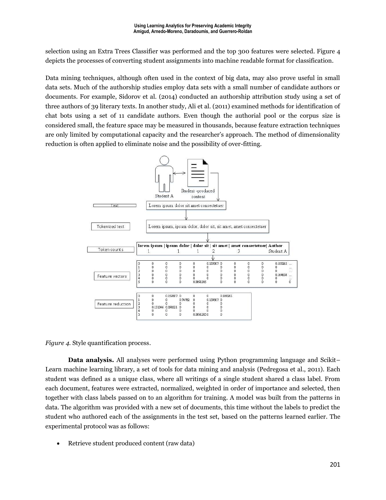selection using an Extra Trees Classifier was performed and the top 300 features were selected. Figure 4 depicts the processes of converting student assignments into machine readable format for classification.

Data mining techniques, although often used in the context of big data, may also prove useful in small data sets. Much of the authorship studies employ data sets with a small number of candidate authors or documents. For example, Sidorov et al. (2014) conducted an authorship attribution study using a set of three authors of 39 literary texts. In another study, Ali et al. (2011) examined methods for identification of chat bots using a set of 11 candidate authors. Even though the authorial pool or the corpus size is considered small, the feature space may be measured in thousands, because feature extraction techniques are only limited by computational capacity and the researcher's approach. The method of dimensionality reduction is often applied to eliminate noise and the possibility of over-fitting.



*Figure 4.* Style quantification process.

**Data analysis.** All analyses were performed using Python programming language and Scikit– Learn machine learning library, a set of tools for data mining and analysis (Pedregosa et al., 2011). Each student was defined as a unique class, where all writings of a single student shared a class label. From each document, features were extracted, normalized, weighted in order of importance and selected, then together with class labels passed on to an algorithm for training. A model was built from the patterns in data. The algorithm was provided with a new set of documents, this time without the labels to predict the student who authored each of the assignments in the test set, based on the patterns learned earlier. The experimental protocol was as follows:

Retrieve student produced content (raw data)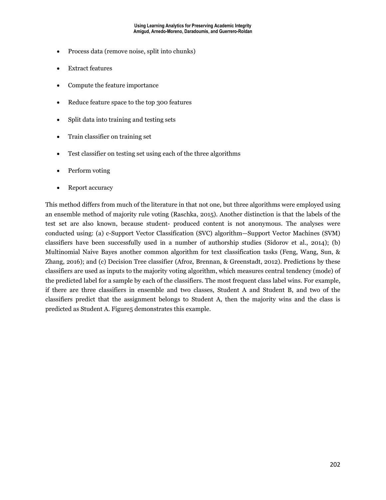- Process data (remove noise, split into chunks)
- Extract features
- Compute the feature importance
- Reduce feature space to the top 300 features
- Split data into training and testing sets
- Train classifier on training set
- Test classifier on testing set using each of the three algorithms
- Perform voting
- Report accuracy

This method differs from much of the literature in that not one, but three algorithms were employed using an ensemble method of majority rule voting (Raschka, 2015). Another distinction is that the labels of the test set are also known, because student- produced content is not anonymous. The analyses were conducted using: (a) c-Support Vector Classification (SVC) algorithm—Support Vector Machines (SVM) classifiers have been successfully used in a number of authorship studies (Sidorov et al., 2014); (b) Multinomial Naive Bayes another common algorithm for text classification tasks (Feng, Wang, Sun, & Zhang, 2016); and (c) Decision Tree classifier (Afroz, Brennan, & Greenstadt, 2012). Predictions by these classifiers are used as inputs to the majority voting algorithm, which measures central tendency (mode) of the predicted label for a sample by each of the classifiers. The most frequent class label wins. For example, if there are three classifiers in ensemble and two classes, Student A and Student B, and two of the classifiers predict that the assignment belongs to Student A, then the majority wins and the class is predicted as Student A. Figure5 demonstrates this example.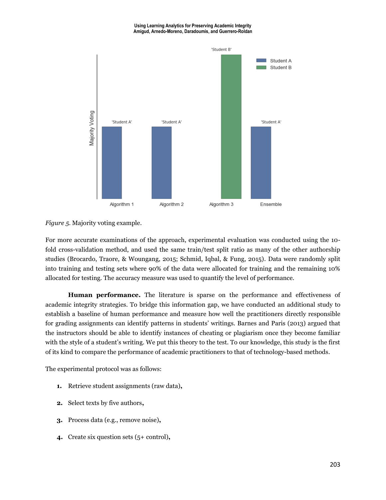#### **Using Learning Analytics for Preserving Academic Integrity Amigud, Arnedo-Moreno, Daradoumis, and Guerrero-Roldan**



*Figure 5.* Majority voting example.

For more accurate examinations of the approach, experimental evaluation was conducted using the 10 fold cross-validation method, and used the same train/test split ratio as many of the other authorship studies (Brocardo, Traore, & Woungang, 2015; Schmid, Iqbal, & Fung, 2015). Data were randomly split into training and testing sets where 90% of the data were allocated for training and the remaining 10% allocated for testing. The accuracy measure was used to quantify the level of performance.

**Human performance.** The literature is sparse on the performance and effectiveness of academic integrity strategies. To bridge this information gap, we have conducted an additional study to establish a baseline of human performance and measure how well the practitioners directly responsible for grading assignments can identify patterns in students' writings. Barnes and Paris (2013) argued that the instructors should be able to identify instances of cheating or plagiarism once they become familiar with the style of a student's writing. We put this theory to the test. To our knowledge, this study is the first of its kind to compare the performance of academic practitioners to that of technology-based methods.

The experimental protocol was as follows:

- **1.** Retrieve student assignments (raw data)**,**
- **2.** Select texts by five authors**,**
- **3.** Process data (e.g., remove noise)**,**
- **4.** Create six question sets (5+ control)**,**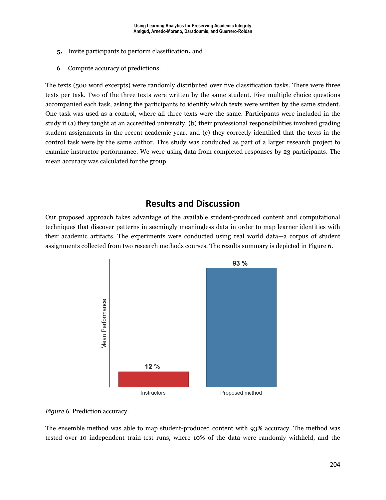- **5.** Invite participants to perform classification**,** and
- 6. Compute accuracy of predictions.

The texts (500 word excerpts) were randomly distributed over five classification tasks. There were three texts per task. Two of the three texts were written by the same student. Five multiple choice questions accompanied each task, asking the participants to identify which texts were written by the same student. One task was used as a control, where all three texts were the same. Participants were included in the study if (a) they taught at an accredited university, (b) their professional responsibilities involved grading student assignments in the recent academic year, and (c) they correctly identified that the texts in the control task were by the same author. This study was conducted as part of a larger research project to examine instructor performance. We were using data from completed responses by 23 participants. The mean accuracy was calculated for the group.

# **Results and Discussion**

Our proposed approach takes advantage of the available student-produced content and computational techniques that discover patterns in seemingly meaningless data in order to map learner identities with their academic artifacts. The experiments were conducted using real world data—a corpus of student assignments collected from two research methods courses. The results summary is depicted in Figure 6.



*Figure 6.* Prediction accuracy.

The ensemble method was able to map student-produced content with 93% accuracy. The method was tested over 10 independent train-test runs, where 10% of the data were randomly withheld, and the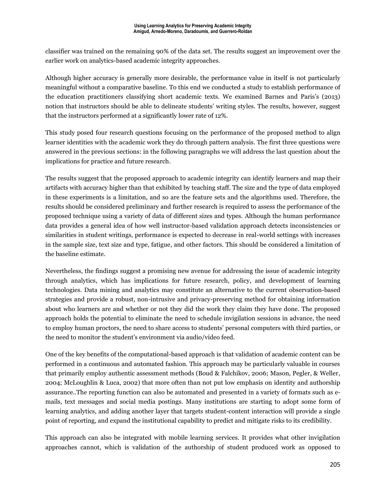classifier was trained on the remaining 90% of the data set. The results suggest an improvement over the earlier work on analytics-based academic integrity approaches.

Although higher accuracy is generally more desirable, the performance value in itself is not particularly meaningful without a comparative baseline. To this end we conducted a study to establish performance of the education practitioners classifying short academic texts. We examined Barnes and Paris's (2013) notion that instructors should be able to delineate students' writing styles. The results, however, suggest that the instructors performed at a significantly lower rate of 12%.

This study posed four research questions focusing on the performance of the proposed method to align learner identities with the academic work they do through pattern analysis. The first three questions were answered in the previous sections: in the following paragraphs we will address the last question about the implications for practice and future research.

The results suggest that the proposed approach to academic integrity can identify learners and map their artifacts with accuracy higher than that exhibited by teaching staff. The size and the type of data employed in these experiments is a limitation, and so are the feature sets and the algorithms used. Therefore, the results should be considered preliminary and further research is required to assess the performance of the proposed technique using a variety of data of different sizes and types. Although the human performance data provides a general idea of how well instructor-based validation approach detects inconsistencies or similarities in student writings, performance is expected to decrease in real-world settings with increases in the sample size, text size and type, fatigue, and other factors. This should be considered a limitation of the baseline estimate.

Nevertheless, the findings suggest a promising new avenue for addressing the issue of academic integrity through analytics, which has implications for future research, policy, and development of learning technologies. Data mining and analytics may constitute an alternative to the current observation-based strategies and provide a robust, non-intrusive and privacy-preserving method for obtaining information about who learners are and whether or not they did the work they claim they have done. The proposed approach holds the potential to eliminate the need to schedule invigilation sessions in advance, the need to employ human proctors, the need to share access to students' personal computers with third parties, or the need to monitor the student's environment via audio/video feed.

One of the key benefits of the computational-based approach is that validation of academic content can be performed in a continuous and automated fashion. This approach may be particularly valuable in courses that primarily employ authentic assessment methods (Boud & Falchikov, 2006; Mason, Pegler, & Weller, 2004; McLoughlin & Luca, 2002) that more often than not put low emphasis on identity and authorship assurance..The reporting function can also be automated and presented in a variety of formats such as emails, text messages and social media postings. Many institutions are starting to adopt some form of learning analytics, and adding another layer that targets student-content interaction will provide a single point of reporting, and expand the institutional capability to predict and mitigate risks to its credibility.

This approach can also be integrated with mobile learning services. It provides what other invigilation approaches cannot, which is validation of the authorship of student produced work as opposed to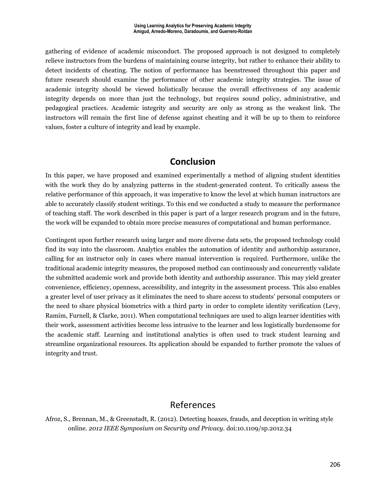gathering of evidence of academic misconduct. The proposed approach is not designed to completely relieve instructors from the burdens of maintaining course integrity, but rather to enhance their ability to detect incidents of cheating. The notion of performance has beenstressed throughout this paper and future research should examine the performance of other academic integrity strategies. The issue of academic integrity should be viewed holistically because the overall effectiveness of any academic integrity depends on more than just the technology, but requires sound policy, administrative, and pedagogical practices. Academic integrity and security are only as strong as the weakest link. The instructors will remain the first line of defense against cheating and it will be up to them to reinforce values, foster a culture of integrity and lead by example.

# **Conclusion**

In this paper, we have proposed and examined experimentally a method of aligning student identities with the work they do by analyzing patterns in the student-generated content. To critically assess the relative performance of this approach, it was imperative to know the level at which human instructors are able to accurately classify student writings. To this end we conducted a study to measure the performance of teaching staff. The work described in this paper is part of a larger research program and in the future, the work will be expanded to obtain more precise measures of computational and human performance.

Contingent upon further research using larger and more diverse data sets, the proposed technology could find its way into the classroom. Analytics enables the automation of identity and authorship assurance, calling for an instructor only in cases where manual intervention is required. Furthermore, unlike the traditional academic integrity measures, the proposed method can continuously and concurrently validate the submitted academic work and provide both identity and authorship assurance. This may yield greater convenience, efficiency, openness, accessibility, and integrity in the assessment process. This also enables a greater level of user privacy as it eliminates the need to share access to students' personal computers or the need to share physical biometrics with a third party in order to complete identity verification (Levy, Ramim, Furnell, & Clarke, 2011). When computational techniques are used to align learner identities with their work, assessment activities become less intrusive to the learner and less logistically burdensome for the academic staff. Learning and institutional analytics is often used to track student learning and streamline organizational resources. Its application should be expanded to further promote the values of integrity and trust.

# References

Afroz, S., Brennan, M., & Greenstadt, R. (2012). Detecting hoaxes, frauds, and deception in writing style online. *2012 IEEE Symposium on Security and Privacy.* doi:10.1109/sp.2012.34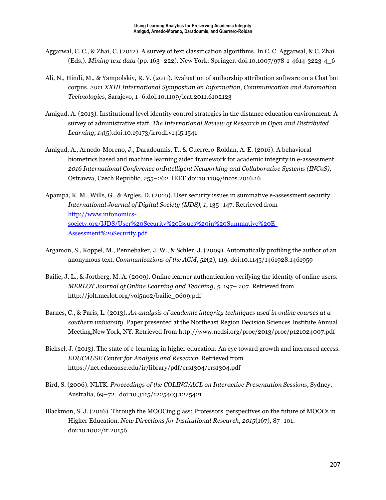- Aggarwal, C. C., & Zhai, C. (2012). A survey of text classification algorithms. In C. C. Aggarwal, & C. Zhai (Eds.). *Mining text data* (pp. 163–222). New York: Springer. doi:10.1007/978-1-4614-3223-4\_6
- Ali, N., Hindi, M., & Yampolskiy, R. V. (2011). Evaluation of authorship attribution software on a Chat bot corpus. *2011 XXIII International Symposium on Information, Communication and Automation Technologies*, Sarajevo, 1–6.doi:10.1109/icat.2011.6102123
- Amigud, A. (2013). Institutional level identity control strategies in the distance education environment: A survey of administrative staff. *The International Review of Research in Open and Distributed Learning, 14*(5).doi:10.19173/irrodl.v14i5.1541
- Amigud, A., Arnedo-Moreno, J., Daradoumis, T., & Guerrero-Roldan, A. E. (2016). A behavioral biometrics based and machine learning aided framework for academic integrity in e-assessment. *2016 International Conference onIntelligent Networking and Collaborative Systems (INCoS)*, Ostrawva, Czech Republic, 255–262. IEEE.doi:10.1109/incos.2016.16
- Apampa, K. M., Wills, G., & Argles, D. (2010). User security issues in summative e-assessment security. *International Journal of Digital Society (IJDS), 1*, 135–147. Retrieved from [http://www.infonomics](http://www.infonomics-society.org/IJDS/User%20Security%20Issues%20in%20Summative%20E-Assessment%20Security.pdf)[society.org/IJDS/User%20Security%20Issues%20in%20Summative%20E-](http://www.infonomics-society.org/IJDS/User%20Security%20Issues%20in%20Summative%20E-Assessment%20Security.pdf)[Assessment%20Security.pdf](http://www.infonomics-society.org/IJDS/User%20Security%20Issues%20in%20Summative%20E-Assessment%20Security.pdf)
- Argamon, S., Koppel, M., Pennebaker, J. W., & Schler, J. (2009). Automatically profiling the author of an anonymous text. *Communications of the ACM*, *52*(2), 119. doi:10.1145/1461928.1461959
- Bailie, J. L., & Jortberg, M. A. (2009). Online learner authentication verifying the identity of online users. *MERLOT Journal of Online Learning and Teaching*, *5,* 197– 207. Retrieved from http://jolt.merlot.org/vol5no2/bailie\_0609.pdf
- Barnes, C., & Paris, L. (2013). *An analysis of academic integrity techniques used in online courses at a southern university.* Paper presented at the Northeast Region Decision Sciences Institute Annual Meeting,New York, NY. Retrieved from http://www.nedsi.org/proc/2013/proc/p121024007.pdf
- Bichsel, J. (2013). The state of e-learning in higher education: An eye toward growth and increased access. *EDUCAUSE Center for Analysis and Research*. Retrieved from https://net.educause.edu/ir/library/pdf/ers1304/ers1304.pdf
- Bird, S. (2006). NLTK. *Proceedings of the COLING/ACL on Interactive Presentation Sessions*, Sydney, Australia, 69–72. doi:10.3115/1225403.1225421
- Blackmon, S. J. (2016). Through the MOOCing glass: Professors' perspectives on the future of MOOCs in Higher Education. *New Directions for Institutional Research*, *2015*(167), 87–101. doi:10.1002/ir.20156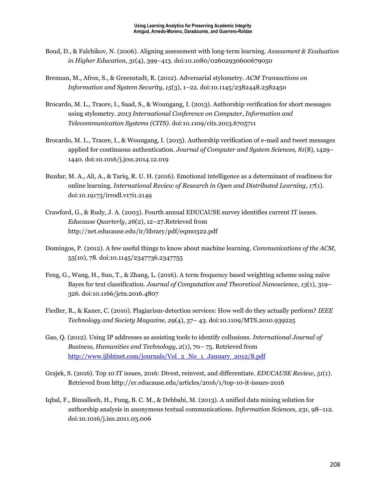- Boud, D., & Falchikov, N. (2006). Aligning assessment with long‐term learning. *Assessment & Evaluation in Higher Education, 31*(4), 399–413. doi:10.1080/02602930600679050
- Brennan, M., Afroz, S., & Greenstadt, R. (2012). Adversarial stylometry. *ACM Transactions on Information and System Security, 15*(3), 1–22. doi:10.1145/2382448.2382450
- Brocardo, M. L., Traore, I., Saad, S., & Woungang, I. (2013). Authorship verification for short messages using stylometry*. 2013 International Conference on Computer, Information and Telecommunication Systems (CITS).* doi:10.1109/cits.2013.6705711
- Brocardo, M. L., Traore, I., & Woungang, I. (2015). Authorship verification of e-mail and tweet messages applied for continuous authentication. *Journal of Computer and System Sciences, 81*(8), 1429– 1440. doi:10.1016/j.jcss.2014.12.019
- Buzdar, M. A., Ali, A., & Tariq, R. U. H. (2016). Emotional intelligence as a determinant of readiness for online learning. *International Review of Research in Open and Distributed Learning, 17*(1). doi:10.19173/irrodl.v17i1.2149
- Crawford, G., & Rudy, J. A. (2003). Fourth annual EDUCAUSE survey identifies current IT issues. *Educause Quarterly*, *26*(2), 12–27.Retrieved from http://net.educause.edu/ir/library/pdf/eqm0322.pdf
- Domingos, P. (2012). A few useful things to know about machine learning. *Communications of the ACM*, 55(10), 78. doi:10.1145/2347736.2347755
- Feng, G., Wang, H., Sun, T., & Zhang, L. (2016). A term frequency based weighting scheme using naïve Bayes for text classification. *Journal of Computation and Theoretical Nanoscience, 13*(1), 319– 326. doi:10.1166/jctn.2016.4807
- Fiedler, R., & Kaner, C. (2010). Plagiarism-detection services: How well do they actually perform? *IEEE Technology and Society Magazine, 29*(4), 37– 43. doi:10.1109/MTS.2010.939225
- Gao, Q. (2012). Using IP addresses as assisting tools to identify collusions. *International Journal of Business, Humanities and Technology, 2*(1), 70– 75. Retrieved from [http://www.ijbhtnet.com/journals/Vol\\_2\\_No\\_1\\_January\\_2012/8.pdf](http://www.ijbhtnet.com/journals/Vol_2_No_1_January_2012/8.pdf)
- Grajek, S. (2016). Top 10 IT issues, 2016: Divest, reinvest, and differentiate. *EDUCAUSE Review, 51*(1). Retrieved from http://er.educause.edu/articles/2016/1/top-10-it-issues-2016
- Iqbal, F., Binsalleeh, H., Fung, B. C. M., & Debbabi, M. (2013). A unified data mining solution for authorship analysis in anonymous textual communications. *Information Sciences, 231*, 98–112. doi:10.1016/j.ins.2011.03.006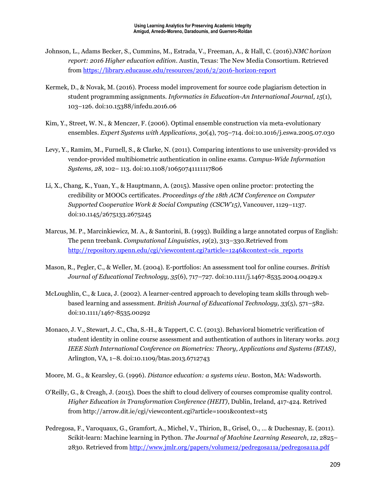- Johnson, L., Adams Becker, S., Cummins, M., Estrada, V., Freeman, A., & Hall, C. (2016).*NMC horizon report: 2016 Higher education edition*. Austin, Texas: The New Media Consortium. Retrieved from <https://library.educause.edu/resources/2016/2/2016-horizon-report>
- Kermek, D., & Novak, M. (2016). Process model improvement for source code plagiarism detection in student programming assignments. *Informatics in Education-An International Journal, 15*(1), 103–126. doi:10.15388/infedu.2016.06
- Kim, Y., Street, W. N., & Menczer, F. (2006). Optimal ensemble construction via meta-evolutionary ensembles. *Expert Systems with Applications*, *30*(4), 705–714. doi:10.1016/j.eswa.2005.07.030
- Levy, Y., Ramim, M., Furnell, S., & Clarke, N. (2011). Comparing intentions to use university-provided vs vendor-provided multibiometric authentication in online exams. *Campus-Wide Information Systems, 28*, 102– 113. doi:10.1108/10650741111117806
- Li, X., Chang, K., Yuan, Y., & Hauptmann, A. (2015). Massive open online proctor: protecting the credibility or MOOCs certificates. *Proceedings of the 18th ACM Conference on Computer Supported Cooperative Work & Social Computing (CSCW'15)*, Vancouver, 1129–1137. doi:10.1145/2675133.2675245
- Marcus, M. P., Marcinkiewicz, M. A., & Santorini, B. (1993). Building a large annotated corpus of English: The penn treebank. *Computational Linguistics*, *19*(2), 313–330.Retrieved from [http://repository.upenn.edu/cgi/viewcontent.cgi?article=1246&context=cis\\_reports](http://repository.upenn.edu/cgi/viewcontent.cgi?article=1246&context=cis_reports)
- Mason, R., Pegler, C., & Weller, M. (2004). E-portfolios: An assessment tool for online courses. *British Journal of Educational Technology, 35*(6), 717–727. doi:10.1111/j.1467-8535.2004.00429.x
- McLoughlin, C., & Luca, J. (2002). A learner-centred approach to developing team skills through webbased learning and assessment. *British Journal of Educational Technology, 33*(5), 571–582. doi:10.1111/1467-8535.00292
- Monaco, J. V., Stewart, J. C., Cha, S.-H., & Tappert, C. C. (2013). Behavioral biometric verification of student identity in online course assessment and authentication of authors in literary works. *2013 IEEE Sixth International Conference on Biometrics: Theory, Applications and Systems (BTAS)*, Arlington, VA, 1–8. doi:10.1109/btas.2013.6712743

Moore, M. G., & Kearsley, G. (1996). *Distance education: a systems view*. Boston, MA: Wadsworth.

- O'Reilly, G., & Creagh, J. (2015). Does the shift to cloud delivery of courses compromise quality control. *Higher Education in Transformation Conference (HEIT)*, Dublin, Ireland, 417-424. Retrived from http://arrow.dit.ie/cgi/viewcontent.cgi?article=1001&context=st5
- Pedregosa, F., Varoquaux, G., Gramfort, A., Michel, V., Thirion, B., Grisel, O., … & Duchesnay, E. (2011). Scikit-learn: Machine learning in Python. *The Journal of Machine Learning Research*, *12*, 2825– 2830. Retrieved from<http://www.jmlr.org/papers/volume12/pedregosa11a/pedregosa11a.pdf>